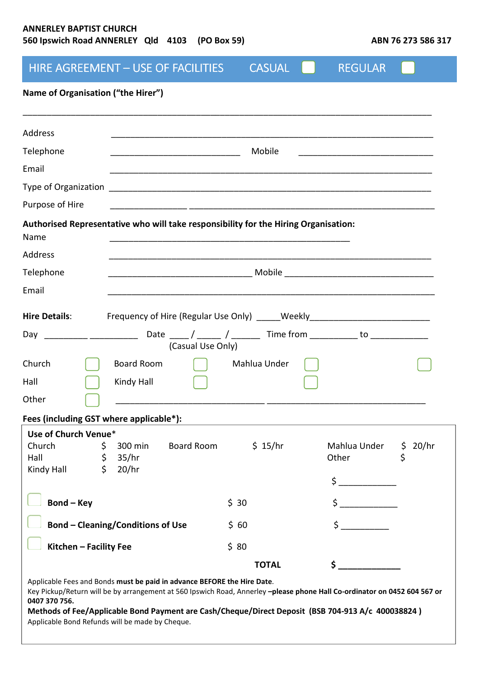# **ANNERLEY BAPTIST CHURCH**  560 Ipswich Road ANNERLEY Qld 4103 (PO Box 59)

| ABN 76 273 586 317 |
|--------------------|
|--------------------|

|                                                                  | HIRE AGREEMENT - USE OF FACILITIES                                                                                                                                                                                                                                                                        | <b>CASUAL</b> | <b>REGULAR</b>        |         |
|------------------------------------------------------------------|-----------------------------------------------------------------------------------------------------------------------------------------------------------------------------------------------------------------------------------------------------------------------------------------------------------|---------------|-----------------------|---------|
| Name of Organisation ("the Hirer")                               |                                                                                                                                                                                                                                                                                                           |               |                       |         |
| Address                                                          |                                                                                                                                                                                                                                                                                                           |               |                       |         |
| Telephone                                                        |                                                                                                                                                                                                                                                                                                           | Mobile        |                       |         |
| Email                                                            |                                                                                                                                                                                                                                                                                                           |               |                       |         |
|                                                                  |                                                                                                                                                                                                                                                                                                           |               |                       |         |
| Purpose of Hire                                                  |                                                                                                                                                                                                                                                                                                           |               |                       |         |
| Name                                                             | Authorised Representative who will take responsibility for the Hiring Organisation:                                                                                                                                                                                                                       |               |                       |         |
| Address                                                          |                                                                                                                                                                                                                                                                                                           |               |                       |         |
| Telephone                                                        |                                                                                                                                                                                                                                                                                                           |               |                       |         |
| Email                                                            |                                                                                                                                                                                                                                                                                                           |               |                       |         |
| <b>Hire Details:</b>                                             | Frequency of Hire (Regular Use Only) _____Weekly _______________________________                                                                                                                                                                                                                          |               |                       |         |
|                                                                  | (Casual Use Only)                                                                                                                                                                                                                                                                                         |               |                       |         |
| Church                                                           | Board Room                                                                                                                                                                                                                                                                                                | Mahlua Under  |                       |         |
| Hall                                                             | Kindy Hall                                                                                                                                                                                                                                                                                                |               |                       |         |
| Other                                                            |                                                                                                                                                                                                                                                                                                           |               |                       |         |
| Fees (including GST where applicable*):                          |                                                                                                                                                                                                                                                                                                           |               |                       |         |
| Use of Church Venue*                                             |                                                                                                                                                                                                                                                                                                           |               |                       |         |
| \$<br>Church<br>\$<br>Hall                                       | Board Room<br>300 min<br>35/hr                                                                                                                                                                                                                                                                            | \$15/hr       | Mahlua Under<br>Other | \$20/hr |
| $\dot{\mathsf{S}}$<br>Kindy Hall                                 | 20/hr                                                                                                                                                                                                                                                                                                     |               |                       |         |
|                                                                  |                                                                                                                                                                                                                                                                                                           |               | \$                    |         |
| <b>Bond-Key</b>                                                  |                                                                                                                                                                                                                                                                                                           | \$30          | \$                    |         |
| <b>Bond - Cleaning/Conditions of Use</b>                         |                                                                                                                                                                                                                                                                                                           | \$60          | \$                    |         |
| Kitchen - Facility Fee                                           |                                                                                                                                                                                                                                                                                                           | \$80          |                       |         |
|                                                                  |                                                                                                                                                                                                                                                                                                           | <b>TOTAL</b>  | \$                    |         |
| 0407 370 756.<br>Applicable Bond Refunds will be made by Cheque. | Applicable Fees and Bonds must be paid in advance BEFORE the Hire Date.<br>Key Pickup/Return will be by arrangement at 560 Ipswich Road, Annerley -please phone Hall Co-ordinator on 0452 604 567 or<br>Methods of Fee/Applicable Bond Payment are Cash/Cheque/Direct Deposit (BSB 704-913 A/c 400038824) |               |                       |         |